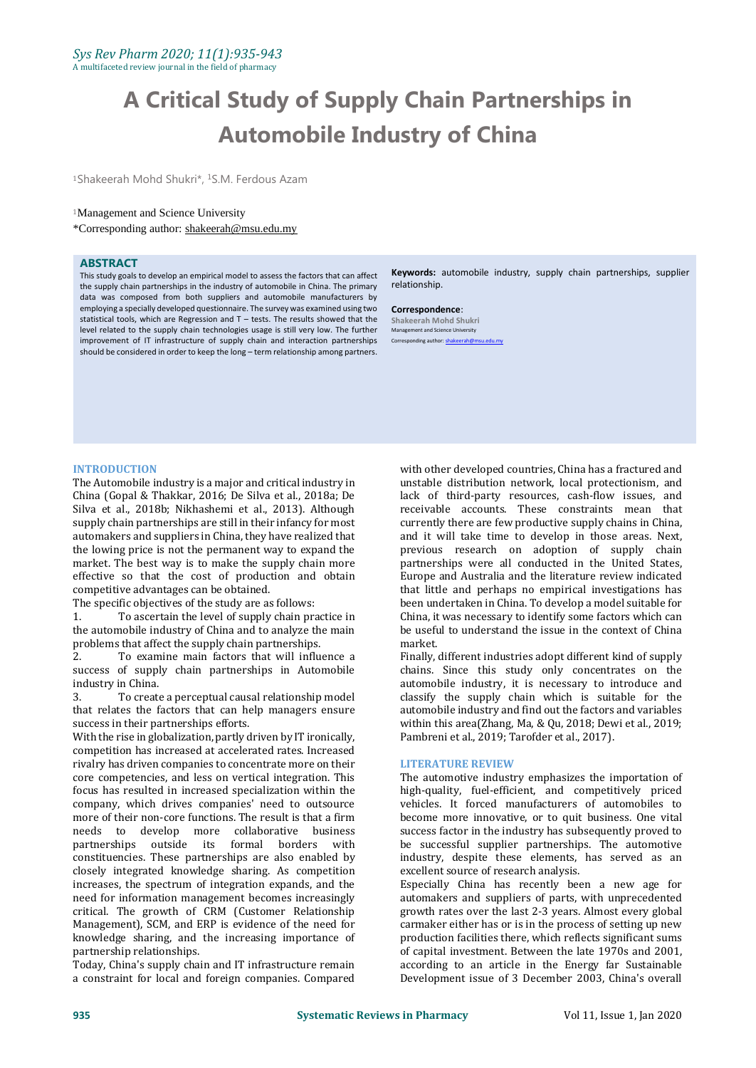# **A Critical Study of Supply Chain Partnerships in Automobile Industry of China**

<sup>1</sup>Shakeerah Mohd Shukri\*, <sup>1</sup>S.M. Ferdous Azam

### <sup>1</sup>Management and Science University

\*Corresponding author: [shakeerah@msu.edu.my](mailto:mdgapar@msu.edu.my)

#### **ABSTRACT**

This study goals to develop an empirical model to assess the factors that can affect the supply chain partnerships in the industry of automobile in China. The primary data was composed from both suppliers and automobile manufacturers by employing a specially developed questionnaire. The survey was examined using two statistical tools, which are Regression and T – tests. The results showed that the level related to the supply chain technologies usage is still very low. The further improvement of IT infrastructure of supply chain and interaction partnerships should be considered in order to keep the long – term relationship among partners.

**Keywords:** automobile industry, supply chain partnerships, supplier relationship.

**Correspondence**: **Shakeerah Mohd Shukri Management and Science University** Corresponding author: shake

#### **INTRODUCTION**

The Automobile industry is a major and critical industry in China (Gopal & Thakkar, 2016; De Silva et al., 2018a; De Silva et al., 2018b; Nikhashemi et al., 2013). Although supply chain partnerships are still in their infancy for most automakers and suppliers in China, they have realized that the lowing price is not the permanent way to expand the market. The best way is to make the supply chain more effective so that the cost of production and obtain competitive advantages can be obtained.

The specific objectives of the study are as follows:

1. To ascertain the level of supply chain practice in the automobile industry of China and to analyze the main problems that affect the supply chain partnerships.

2. To examine main factors that will influence a success of supply chain partnerships in Automobile industry in China.

3. To create a perceptual causal relationship model that relates the factors that can help managers ensure success in their partnerships efforts.

With the rise in globalization, partly driven by IT ironically, competition has increased at accelerated rates. Increased rivalry has driven companies to concentrate more on their core competencies, and less on vertical integration. This focus has resulted in increased specialization within the company, which drives companies' need to outsource more of their non-core functions. The result is that a firm needs to develop more collaborative business partnerships outside its formal borders with constituencies. These partnerships are also enabled by closely integrated knowledge sharing. As competition increases, the spectrum of integration expands, and the need for information management becomes increasingly critical. The growth of CRM (Customer Relationship Management), SCM, and ERP is evidence of the need for knowledge sharing, and the increasing importance of partnership relationships.

Today, China's supply chain and IT infrastructure remain a constraint for local and foreign companies. Compared

with other developed countries, China has a fractured and unstable distribution network, local protectionism, and lack of third-party resources, cash-flow issues, and receivable accounts. These constraints mean that currently there are few productive supply chains in China, and it will take time to develop in those areas. Next, previous research on adoption of supply chain partnerships were all conducted in the United States, Europe and Australia and the literature review indicated that little and perhaps no empirical investigations has been undertaken in China. To develop a model suitable for China, it was necessary to identify some factors which can be useful to understand the issue in the context of China market.

Finally, different industries adopt different kind of supply chains. Since this study only concentrates on the automobile industry, it is necessary to introduce and classify the supply chain which is suitable for the automobile industry and find out the factors and variables within this area(Zhang, Ma, & Qu, 2018; Dewi et al., 2019; Pambreni et al., 2019; Tarofder et al., 2017).

#### **LITERATURE REVIEW**

The automotive industry emphasizes the importation of high-quality, fuel-efficient, and competitively priced vehicles. It forced manufacturers of automobiles to become more innovative, or to quit business. One vital success factor in the industry has subsequently proved to be successful supplier partnerships. The automotive industry, despite these elements, has served as an excellent source of research analysis.

Especially China has recently been a new age for automakers and suppliers of parts, with unprecedented growth rates over the last 2-3 years. Almost every global carmaker either has or is in the process of setting up new production facilities there, which reflects significant sums of capital investment. Between the late 1970s and 2001, according to an article in the Energy far Sustainable Development issue of 3 December 2003, China's overall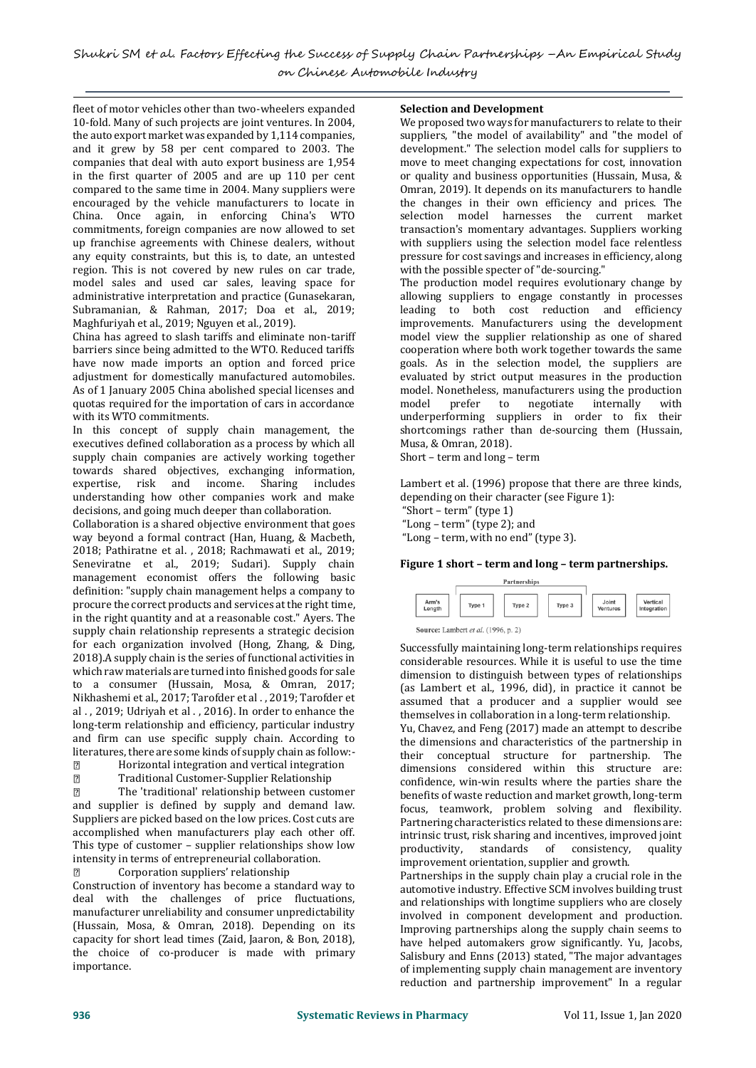fleet of motor vehicles other than two-wheelers expanded 10-fold. Many of such projects are joint ventures. In 2004, the auto export market was expanded by 1,114 companies, and it grew by 58 per cent compared to 2003. The companies that deal with auto export business are 1,954 in the first quarter of 2005 and are up 110 per cent compared to the same time in 2004. Many suppliers were encouraged by the vehicle manufacturers to locate in China. Once again, in enforcing China's WTO commitments, foreign companies are now allowed to set up franchise agreements with Chinese dealers, without any equity constraints, but this is, to date, an untested region. This is not covered by new rules on car trade, model sales and used car sales, leaving space for administrative interpretation and practice (Gunasekaran, Subramanian, & Rahman, 2017; Doa et al., 2019; Maghfuriyah et al., 2019; Nguyen et al., 2019).

China has agreed to slash tariffs and eliminate non-tariff barriers since being admitted to the WTO. Reduced tariffs have now made imports an option and forced price adjustment for domestically manufactured automobiles. As of 1 January 2005 China abolished special licenses and quotas required for the importation of cars in accordance with its WTO commitments.

In this concept of supply chain management, the executives defined collaboration as a process by which all supply chain companies are actively working together towards shared objectives, exchanging information, expertise, risk and income. Sharing includes understanding how other companies work and make decisions, and going much deeper than collaboration.

Collaboration is a shared objective environment that goes way beyond a formal contract (Han, Huang, & Macbeth, 2018; Pathiratne et al. , 2018; Rachmawati et al., 2019; Seneviratne et al., 2019; Sudari). Supply chain management economist offers the following basic definition: "supply chain management helps a company to procure the correct products and services at the right time, in the right quantity and at a reasonable cost." Ayers. The supply chain relationship represents a strategic decision for each organization involved (Hong, Zhang, & Ding, 2018).A supply chain is the series of functional activities in which raw materials are turned into finished goods for sale to a consumer (Hussain, Mosa, & Omran, 2017; Nikhashemi et al., 2017; Tarofder et al . , 2019; Tarofder et al . , 2019; Udriyah et al . , 2016). In order to enhance the long-term relationship and efficiency, particular industry and firm can use specific supply chain. According to literatures, there are some kinds of supply chain as follow:-

 $\sqrt{2}$ Horizontal integration and vertical integration

 $\sqrt{2}$ Traditional Customer-Supplier Relationship

 $\sqrt{2}$ The 'traditional' relationship between customer and supplier is defined by supply and demand law. Suppliers are picked based on the low prices. Cost cuts are accomplished when manufacturers play each other off. This type of customer – supplier relationships show low intensity in terms of entrepreneurial collaboration.

 $\overline{2}$ Corporation suppliers' relationship Construction of inventory has become a standard way to deal with the challenges of price fluctuations, manufacturer unreliability and consumer unpredictability (Hussain, Mosa, & Omran, 2018). Depending on its capacity for short lead times (Zaid, Jaaron, & Bon, 2018), the choice of co-producer is made with primary importance.

# **Selection and Development**

We proposed two ways for manufacturers to relate to their suppliers, "the model of availability" and "the model of development." The selection model calls for suppliers to move to meet changing expectations for cost, innovation or quality and business opportunities (Hussain, Musa, & Omran, 2019). It depends on its manufacturers to handle the changes in their own efficiency and prices. The selection model harnesses the current market transaction's momentary advantages. Suppliers working with suppliers using the selection model face relentless pressure for cost savings and increases in efficiency, along with the possible specter of "de-sourcing."

The production model requires evolutionary change by allowing suppliers to engage constantly in processes leading to both cost reduction and efficiency improvements. Manufacturers using the development model view the supplier relationship as one of shared cooperation where both work together towards the same goals. As in the selection model, the suppliers are evaluated by strict output measures in the production model. Nonetheless, manufacturers using the production model prefer to negotiate internally with underperforming suppliers in order to fix their shortcomings rather than de-sourcing them (Hussain, Musa, & Omran, 2018).

Short – term and long – term

Lambert et al. (1996) propose that there are three kinds, depending on their character (see Figure 1):

"Short – term" (type 1) "Long – term" (type 2); and

"Long – term, with no end" (type 3).

## **Figure 1 short – term and long – term partnerships.**



Source: Lambert et al. (1996, p. 2)

Successfully maintaining long-term relationships requires considerable resources. While it is useful to use the time dimension to distinguish between types of relationships (as Lambert et al., 1996, did), in practice it cannot be assumed that a producer and a supplier would see themselves in collaboration in a long-term relationship.

Yu, Chavez, and Feng (2017) made an attempt to describe the dimensions and characteristics of the partnership in their conceptual structure for partnership. The dimensions considered within this structure are: confidence, win-win results where the parties share the benefits of waste reduction and market growth, long-term focus, teamwork, problem solving and flexibility. Partnering characteristics related to these dimensions are: intrinsic trust, risk sharing and incentives, improved joint productivity, standards of consistency, quality improvement orientation, supplier and growth.

Partnerships in the supply chain play a crucial role in the automotive industry. Effective SCM involves building trust and relationships with longtime suppliers who are closely involved in component development and production. Improving partnerships along the supply chain seems to have helped automakers grow significantly. Yu, Jacobs, Salisbury and Enns (2013) stated, "The major advantages of implementing supply chain management are inventory reduction and partnership improvement" In a regular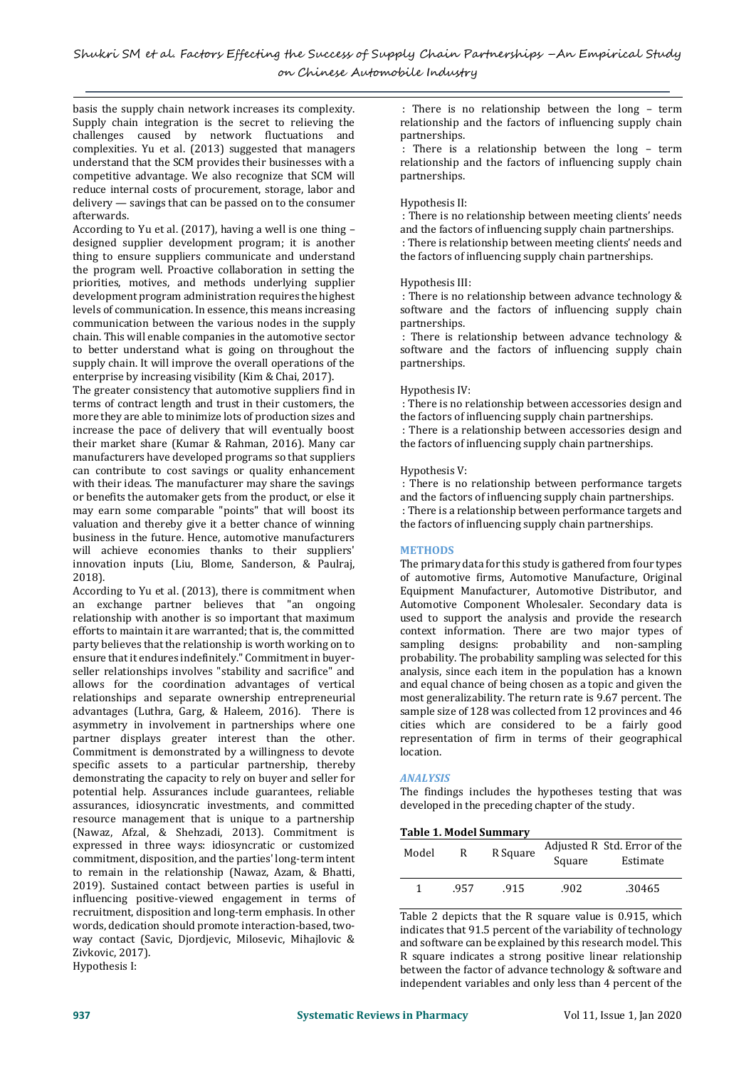basis the supply chain network increases its complexity. Supply chain integration is the secret to relieving the challenges caused by network fluctuations and complexities. Yu et al. (2013) suggested that managers understand that the SCM provides their businesses with a competitive advantage. We also recognize that SCM will reduce internal costs of procurement, storage, labor and delivery — savings that can be passed on to the consumer afterwards.

According to Yu et al. (2017), having a well is one thing – designed supplier development program; it is another thing to ensure suppliers communicate and understand the program well. Proactive collaboration in setting the priorities, motives, and methods underlying supplier development program administration requires the highest levels of communication. In essence, this means increasing communication between the various nodes in the supply chain. This will enable companies in the automotive sector to better understand what is going on throughout the supply chain. It will improve the overall operations of the enterprise by increasing visibility (Kim & Chai, 2017).

The greater consistency that automotive suppliers find in terms of contract length and trust in their customers, the more they are able to minimize lots of production sizes and increase the pace of delivery that will eventually boost their market share (Kumar & Rahman, 2016). Many car manufacturers have developed programs so that suppliers can contribute to cost savings or quality enhancement with their ideas. The manufacturer may share the savings or benefits the automaker gets from the product, or else it may earn some comparable "points" that will boost its valuation and thereby give it a better chance of winning business in the future. Hence, automotive manufacturers will achieve economies thanks to their suppliers' innovation inputs (Liu, Blome, Sanderson, & Paulraj, 2018).

According to Yu et al. (2013), there is commitment when an exchange partner believes that "an ongoing relationship with another is so important that maximum efforts to maintain it are warranted; that is, the committed party believes that the relationship is worth working on to ensure that it endures indefinitely." Commitment in buyerseller relationships involves "stability and sacrifice" and allows for the coordination advantages of vertical relationships and separate ownership entrepreneurial advantages (Luthra, Garg, & Haleem, 2016). There is asymmetry in involvement in partnerships where one partner displays greater interest than the other. Commitment is demonstrated by a willingness to devote specific assets to a particular partnership, thereby demonstrating the capacity to rely on buyer and seller for potential help. Assurances include guarantees, reliable assurances, idiosyncratic investments, and committed resource management that is unique to a partnership (Nawaz, Afzal, & Shehzadi, 2013). Commitment is expressed in three ways: idiosyncratic or customized commitment, disposition, and the parties' long-term intent to remain in the relationship (Nawaz, Azam, & Bhatti, 2019). Sustained contact between parties is useful in influencing positive-viewed engagement in terms of recruitment, disposition and long-term emphasis. In other words, dedication should promote interaction-based, twoway contact (Savic, Djordjevic, Milosevic, Mihajlovic & Zivkovic, 2017). Hypothesis I:

: There is no relationship between the long – term relationship and the factors of influencing supply chain partnerships.

There is a relationship between the long - term relationship and the factors of influencing supply chain partnerships.

# Hypothesis II:

: There is no relationship between meeting clients' needs and the factors of influencing supply chain partnerships. : There is relationship between meeting clients' needs and the factors of influencing supply chain partnerships.

# Hypothesis III:

: There is no relationship between advance technology & software and the factors of influencing supply chain partnerships.

: There is relationship between advance technology & software and the factors of influencing supply chain partnerships.

# Hypothesis IV:

: There is no relationship between accessories design and the factors of influencing supply chain partnerships.

: There is a relationship between accessories design and the factors of influencing supply chain partnerships.

## Hypothesis V:

: There is no relationship between performance targets and the factors of influencing supply chain partnerships. : There is a relationship between performance targets and the factors of influencing supply chain partnerships.

# **METHODS**

The primary data for this study is gathered from four types of automotive firms, Automotive Manufacture, Original Equipment Manufacturer, Automotive Distributor, and Automotive Component Wholesaler. Secondary data is used to support the analysis and provide the research context information. There are two major types of sampling designs: probability and non-sampling probability. The probability sampling was selected for this analysis, since each item in the population has a known and equal chance of being chosen as a topic and given the most generalizability. The return rate is 9.67 percent. The sample size of 128 was collected from 12 provinces and 46 cities which are considered to be a fairly good representation of firm in terms of their geographical location.

# *ANALYSIS*

The findings includes the hypotheses testing that was developed in the preceding chapter of the study.

## **Table 1. Model Summary**

| Model | к    | R Square | Square | Adjusted R Std. Error of the<br>Estimate |
|-------|------|----------|--------|------------------------------------------|
|       | .957 | .915     | .902   | .30465                                   |

Table 2 depicts that the R square value is 0.915, which indicates that 91.5 percent of the variability of technology and software can be explained by this research model. This R square indicates a strong positive linear relationship between the factor of advance technology & software and independent variables and only less than 4 percent of the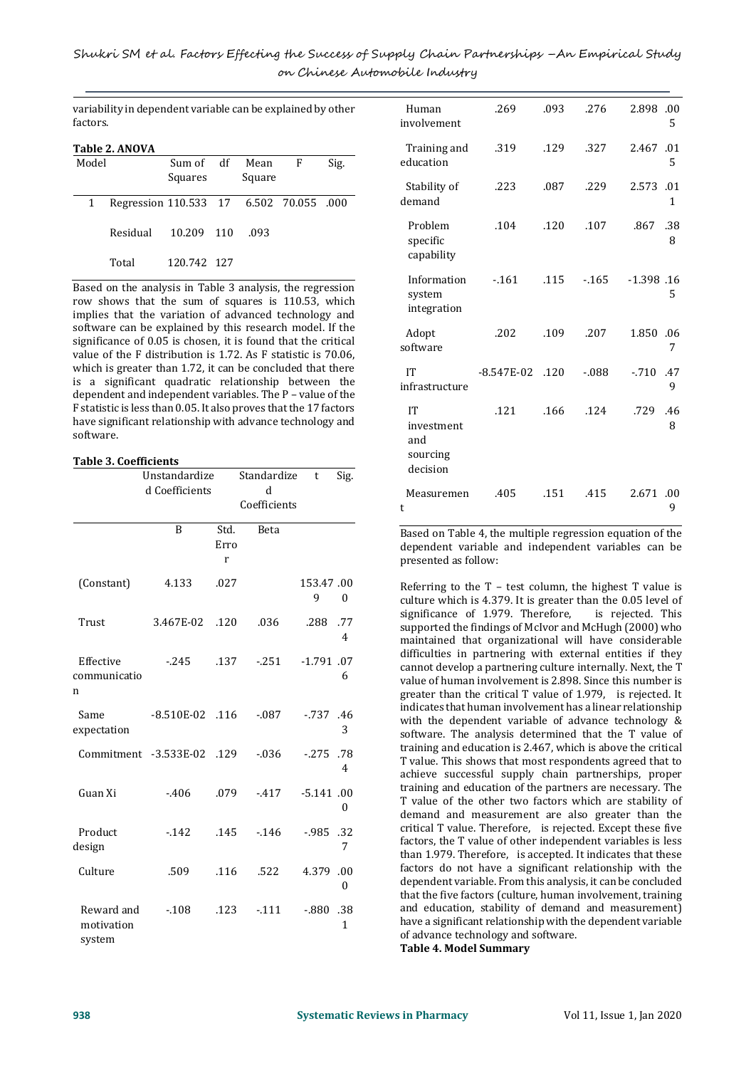variability in dependent variable can be explained by other factors.

|       | Table 2. ANOVA                          |                      |                |   |      |
|-------|-----------------------------------------|----------------------|----------------|---|------|
| Model |                                         | Sum of df<br>Squares | Mean<br>Square | F | Sig. |
| 1     | Regression 110.533 17 6.502 70.055 .000 |                      |                |   |      |
|       | Residual                                | 10.209 110           | .093           |   |      |
|       | Total                                   | 120.742 127          |                |   |      |

Based on the analysis in Table 3 analysis, the regression row shows that the sum of squares is 110.53, which implies that the variation of advanced technology and software can be explained by this research model. If the significance of 0.05 is chosen, it is found that the critical value of the F distribution is 1.72. As F statistic is 70.06, which is greater than 1.72, it can be concluded that there is a significant quadratic relationship between the dependent and independent variables. The P – value of the F statistic is less than 0.05. It also proves that the 17 factors have significant relationship with advance technology and software.

## **Table 3. Coefficients**

|                                    | Unstandardize         |                   | Standardize  | t              | Sig.                    |
|------------------------------------|-----------------------|-------------------|--------------|----------------|-------------------------|
|                                    | d Coefficients        |                   | ď            |                |                         |
|                                    |                       |                   | Coefficients |                |                         |
|                                    | B                     | Std.<br>Erro<br>r | Beta         |                |                         |
| (Constant)                         | 4.133                 | .027              |              | 153.47.00<br>9 | $\Omega$                |
| Trust                              | 3.467E-02             | .120              | .036         | .288           | .77<br>4                |
| Effective<br>communicatio<br>n     | $-245$                | .137              | $-251$       | $-1.791$ .07   | 6                       |
| Same<br>expectation                | $-8.510E-02$          | .116              | $-0.087$     | $-0.737$ .46   | 3                       |
|                                    | Commitment -3.533E-02 | .129              | $-0.36$      | $-275$ .78     | 4                       |
| Guan Xi                            | $-406$                | .079              | $-417$       | $-5.141$ .00   | 0                       |
| Product<br>design                  | $-142$                | .145              | $-146$       | $-0.985$ .32   | 7                       |
| Culture                            | .509                  | .116              | .522         | 4.379          | .00<br>$\boldsymbol{0}$ |
| Reward and<br>motivation<br>system | $-.108$               | .123              | $-111$       | $-0.880$       | .38<br>1                |

| Human<br>involvement                            | .269         | .093 | .276    | 2.898         | .00<br>5 |
|-------------------------------------------------|--------------|------|---------|---------------|----------|
| Training and<br>education                       | .319         | .129 | .327    | 2.467         | .01<br>5 |
| Stability of<br>demand                          | .223         | .087 | .229    | 2.573         | .01<br>1 |
| Problem<br>specific<br>capability               | .104         | .120 | .107    | .867          | .38<br>8 |
| Information<br>system<br>integration            | $-161$       | .115 | $-165$  | $-1.398$ . 16 | 5        |
| Adopt<br>software                               | .202         | .109 | .207    | 1.850         | .06<br>7 |
| IT<br>infrastructure                            | $-8.547E-02$ | .120 | $-.088$ | $-710$        | .47<br>9 |
| IT<br>investment<br>and<br>sourcing<br>decision | .121         | .166 | .124    | .729          | .46<br>8 |
| Measuremen<br>t                                 | .405         | .151 | .415    | 2.671         | .00<br>9 |

Based on Table 4, the multiple regression equation of the dependent variable and independent variables can be presented as follow:

Referring to the  $T -$  test column, the highest  $T$  value is culture which is 4.379. It is greater than the 0.05 level of significance of 1.979. Therefore, is rejected. This supported the findings of McIvor and McHugh (2000) who maintained that organizational will have considerable difficulties in partnering with external entities if they cannot develop a partnering culture internally. Next, the T value of human involvement is 2.898. Since this number is greater than the critical T value of 1.979, is rejected. It indicates that human involvement has a linear relationship with the dependent variable of advance technology & software. The analysis determined that the T value of training and education is 2.467, which is above the critical T value. This shows that most respondents agreed that to achieve successful supply chain partnerships, proper training and education of the partners are necessary. The T value of the other two factors which are stability of demand and measurement are also greater than the critical T value. Therefore, is rejected. Except these five factors, the T value of other independent variables is less than 1.979. Therefore, is accepted. It indicates that these factors do not have a significant relationship with the dependent variable. From this analysis, it can be concluded that the five factors (culture, human involvement, training and education, stability of demand and measurement) have a significant relationship with the dependent variable of advance technology and software. **Table 4. Model Summary**

**938 Systematic Reviews in Pharmacy** Vol 11, Issue 1, Jan 2020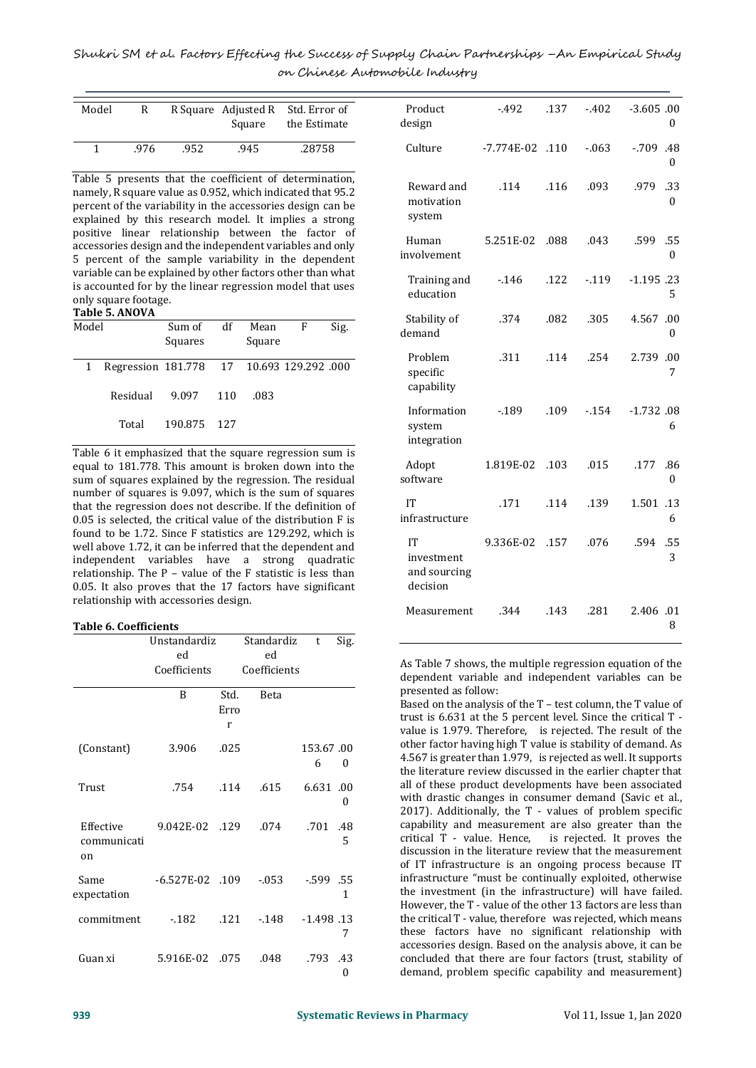| Model | R    |      | R Square Adjusted R<br>Square | Std. Error of<br>the Estimate |
|-------|------|------|-------------------------------|-------------------------------|
|       | .976 | .952 | .945                          | .28758                        |

Table 5 presents that the coefficient of determination, namely, R square value as 0.952, which indicated that 95.2 percent of the variability in the accessories design can be explained by this research model. It implies a strong positive linear relationship between the factor of accessories design and the independent variables and only 5 percent of the sample variability in the dependent variable can be explained by other factors other than what is accounted for by the linear regression model that uses only square footage.

**Table 5. ANOVA**

| Model |                                           | Sum of<br>Squares | df | Mean<br>Square | F | Sig. |
|-------|-------------------------------------------|-------------------|----|----------------|---|------|
|       | Regression 181.778 17 10.693 129.292 .000 |                   |    |                |   |      |
|       | Residual 9.097 110                        |                   |    | .083           |   |      |
|       | Total                                     | 190.875 127       |    |                |   |      |

Table 6 it emphasized that the square regression sum is equal to 181.778. This amount is broken down into the sum of squares explained by the regression. The residual number of squares is 9.097, which is the sum of squares that the regression does not describe. If the definition of 0.05 is selected, the critical value of the distribution F is found to be 1.72. Since F statistics are 129.292, which is well above 1.72, it can be inferred that the dependent and independent variables have a strong quadratic relationship. The P – value of the F statistic is less than 0.05. It also proves that the 17 factors have significant relationship with accessories design.

## **Table 6. Coefficients**

|                                | Unstandardiz    |                   | Standardiz   | t              | Sig.     |
|--------------------------------|-----------------|-------------------|--------------|----------------|----------|
|                                | ed              |                   | ed           |                |          |
|                                | Coefficients    |                   | Coefficients |                |          |
|                                | B               | Std.<br>Erro<br>r | <b>Beta</b>  |                |          |
| (Constant)                     | 3.906           | .025              |              | 153.67.00<br>6 | $\theta$ |
| Trust                          | .754            | .114              | .615         | 6.631.00       | 0        |
| Effective<br>communicati<br>on | 9.042E-02 .129  |                   | .074         | .701           | .48<br>5 |
| Same<br>expectation            | -6.527E-02 .109 |                   | -.053        | $-599$ .55     | 1        |
| commitment                     | - 182           | .121              | $-148$       | $-1.498$ .13   | 7        |
| Guan xi                        | 5.916E-02 .075  |                   | .048         | .793           | .43<br>0 |

| Product<br>design                            | $-492$       | .137 | $-402$  | $-3.605.00$<br>0            |
|----------------------------------------------|--------------|------|---------|-----------------------------|
| Culture                                      | $-7.774E-02$ | .110 | $-0.63$ | $-709$<br>.48<br>$\theta$   |
| Reward and<br>motivation<br>system           | .114         | .116 | .093    | .33<br>.979<br>$\theta$     |
| Human<br>involvement                         | 5.251E-02    | .088 | .043    | .599<br>.55<br>$\mathbf{0}$ |
| Training and<br>education                    | $-0.146$     | .122 | $-119$  | $-1.195$ .23<br>5           |
| Stability of<br>demand                       | .374         | .082 | .305    | 4.567<br>.00<br>0           |
| Problem<br>specific<br>capability            | .311         | .114 | .254    | 2.739<br>.00<br>7           |
| Information<br>system<br>integration         | $-189$       | .109 | $-154$  | $-1.732$ .08<br>6           |
| Adopt<br>software                            | 1.819E-02    | .103 | .015    | .177<br>.86<br>0            |
| IT<br>infrastructure                         | .171         | .114 | .139    | 1.501<br>.13<br>6           |
| IT<br>investment<br>and sourcing<br>decision | 9.336E-02    | .157 | .076    | .55<br>.594<br>3            |
| Measurement                                  | .344         | .143 | .281    | 2.406 .01<br>8              |

As Table 7 shows, the multiple regression equation of the dependent variable and independent variables can be presented as follow:

Based on the analysis of the T – test column, the T value of trust is 6.631 at the 5 percent level. Since the critical T value is 1.979. Therefore, is rejected. The result of the other factor having high T value is stability of demand. As 4.567 is greater than 1.979, is rejected as well. It supports the literature review discussed in the earlier chapter that all of these product developments have been associated with drastic changes in consumer demand (Savic et al., 2017). Additionally, the T - values of problem specific capability and measurement are also greater than the critical T - value. Hence, is rejected. It proves the discussion in the literature review that the measurement of IT infrastructure is an ongoing process because IT infrastructure "must be continually exploited, otherwise the investment (in the infrastructure) will have failed. However, the T - value of the other 13 factors are less than the critical T - value, therefore was rejected, which means these factors have no significant relationship with accessories design. Based on the analysis above, it can be concluded that there are four factors (trust, stability of demand, problem specific capability and measurement)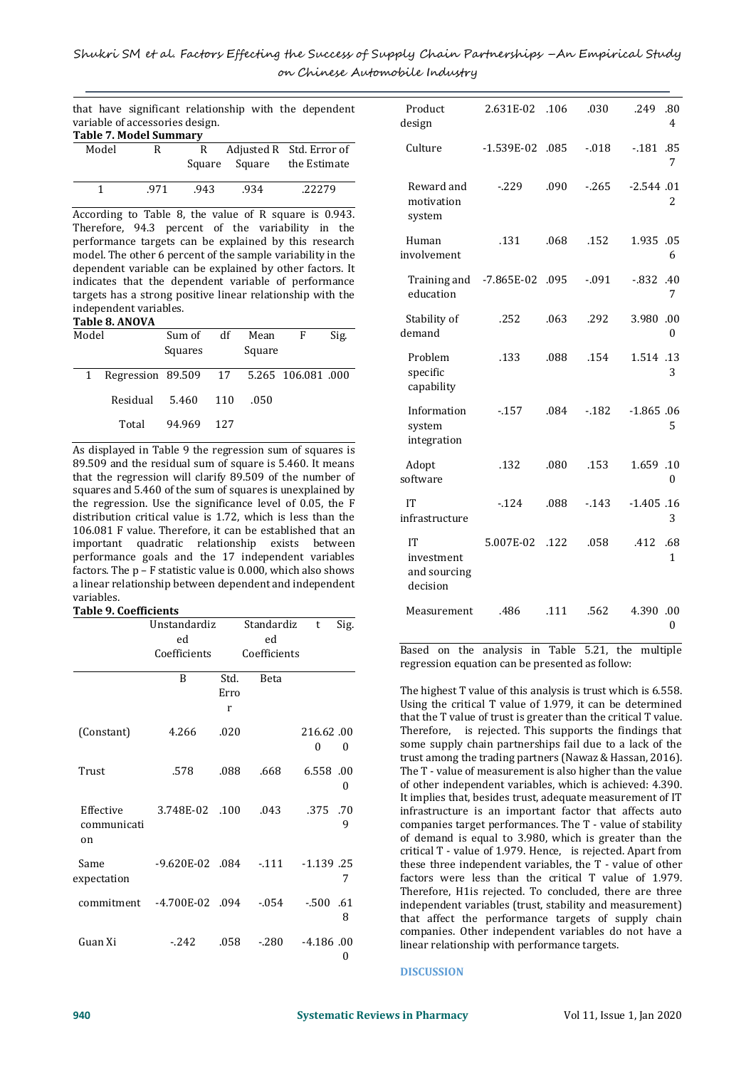|  |                                 | that have significant relationship with the dependent |  |  |
|--|---------------------------------|-------------------------------------------------------|--|--|
|  | variable of accessories design. |                                                       |  |  |
|  | <b>Table 7. Model Summary</b>   |                                                       |  |  |

| Tubic 7: Mouch Summary |     |     |      |                            |
|------------------------|-----|-----|------|----------------------------|
| Model                  | R.  |     |      | Adjusted R Std. Error of   |
|                        |     |     |      | Square Square the Estimate |
|                        | 971 | 943 | .934 | .222.79                    |

According to Table 8, the value of R square is 0.943. Therefore, 94.3 percent of the variability in the performance targets can be explained by this research model. The other 6 percent of the sample variability in the dependent variable can be explained by other factors. It indicates that the dependent variable of performance targets has a strong positive linear relationship with the independent variables.

#### **Table 8. ANOVA**

| Model |                                        | Sum of<br>Squares | df  | Mean<br>Square | F | Sig. |
|-------|----------------------------------------|-------------------|-----|----------------|---|------|
| 1     | Regression 89.509 17 5.265 106.081 000 |                   |     |                |   |      |
|       | Residual                               | 5.460             | 110 | .050           |   |      |
|       | Total                                  | 94.969            | 127 |                |   |      |

As displayed in Table 9 the regression sum of squares is 89.509 and the residual sum of square is 5.460. It means that the regression will clarify 89.509 of the number of squares and 5.460 of the sum of squares is unexplained by the regression. Use the significance level of 0.05, the F distribution critical value is 1.72, which is less than the 106.081 F value. Therefore, it can be established that an important quadratic relationship exists between performance goals and the 17 independent variables factors. The p – F statistic value is 0.000, which also shows a linear relationship between dependent and independent variables.

#### **Table 9. Coefficients**

|                                | Unstandardiz<br>ed  |                   | Standardiz<br>ed | t              | Sig.     |
|--------------------------------|---------------------|-------------------|------------------|----------------|----------|
|                                | Coefficients        |                   | Coefficients     |                |          |
|                                | B                   | Std.<br>Erro<br>r | <b>Beta</b>      |                |          |
| (Constant)                     | 4.266               | .020              |                  | 216.62.00<br>0 | $\theta$ |
| Trust                          | .578                | .088              | .668             | 6.558.00       | $\theta$ |
| Effective<br>communicati<br>on | 3.748E-02 .100      |                   | .043             | .375           | .70<br>9 |
| Same<br>expectation            | $-9.620E - 02$ .084 |                   | $-111$           | $-1.139$ . 25  | 7        |
| commitment                     | $-4.700E-02$ .094   |                   | $-0.054$         | $-.500$ .61    | 8        |
| Guan Xi                        | $-242$              | .058              | $-.280$          | $-4.186.00$    | 0        |

| Product<br>design                            | 2.631E-02    | .106 | .030     | .249<br>.80<br>4   |
|----------------------------------------------|--------------|------|----------|--------------------|
| Culture                                      | $-1.539E-02$ | .085 | $-0.018$ | $-181$<br>.85<br>7 |
| Reward and<br>motivation<br>system           | $-229$       | .090 | $-265$   | $-2.544.01$<br>2   |
| Human<br>involvement                         | .131         | .068 | .152     | 1.935 .05<br>6     |
| Training and<br>education                    | $-7.865E-02$ | .095 | $-0.091$ | -.832<br>.40<br>7  |
| Stability of<br>demand                       | .252         | .063 | .292     | 3.980<br>.00<br>0  |
| Problem<br>specific<br>capability            | .133         | .088 | .154     | 1.514 .13<br>3     |
| Information<br>system<br>integration         | $-157$       | .084 | $-182$   | $-1.865.06$<br>5   |
| Adopt<br>software                            | .132         | .080 | .153     | 1.659 .10<br>0     |
| IT<br>infrastructure                         | $-124$       | .088 | $-0.143$ | $-1.405.16$<br>3   |
| IT<br>investment<br>and sourcing<br>decision | 5.007E-02    | .122 | .058     | .412<br>.68<br>1   |
| Measurement                                  | .486         | .111 | .562     | 4.390.00<br>0      |

Based on the analysis in Table 5.21, the multiple regression equation can be presented as follow:

The highest T value of this analysis is trust which is 6.558. Using the critical T value of 1.979, it can be determined that the T value of trust is greater than the critical T value. Therefore, is rejected. This supports the findings that some supply chain partnerships fail due to a lack of the trust among the trading partners (Nawaz & Hassan, 2016). The T - value of measurement is also higher than the value of other independent variables, which is achieved: 4.390. It implies that, besides trust, adequate measurement of IT infrastructure is an important factor that affects auto companies target performances. The T - value of stability of demand is equal to 3.980, which is greater than the critical T - value of 1.979. Hence, is rejected. Apart from these three independent variables, the T - value of other factors were less than the critical T value of 1.979. Therefore, H1is rejected. To concluded, there are three independent variables (trust, stability and measurement) that affect the performance targets of supply chain companies. Other independent variables do not have a linear relationship with performance targets.

#### **DISCUSSION**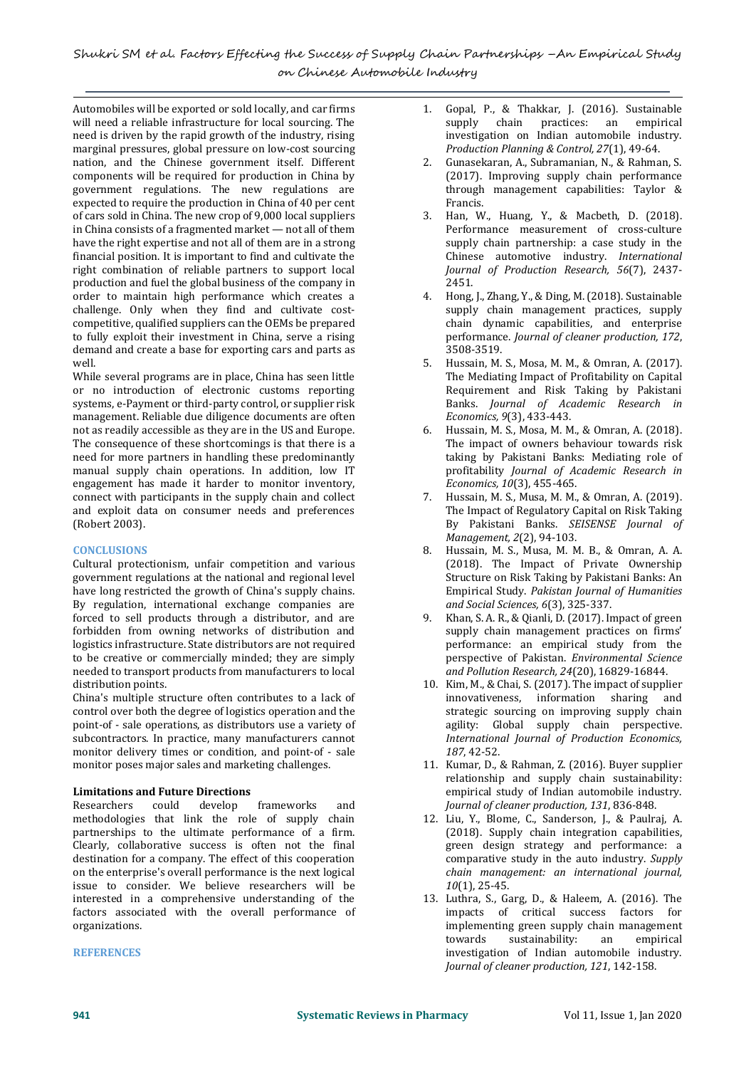Automobiles will be exported or sold locally, and car firms will need a reliable infrastructure for local sourcing. The need is driven by the rapid growth of the industry, rising marginal pressures, global pressure on low-cost sourcing nation, and the Chinese government itself. Different components will be required for production in China by government regulations. The new regulations are expected to require the production in China of 40 per cent of cars sold in China. The new crop of 9,000 local suppliers in China consists of a fragmented market — not all of them have the right expertise and not all of them are in a strong financial position. It is important to find and cultivate the right combination of reliable partners to support local production and fuel the global business of the company in order to maintain high performance which creates a challenge. Only when they find and cultivate costcompetitive, qualified suppliers can the OEMs be prepared to fully exploit their investment in China, serve a rising demand and create a base for exporting cars and parts as well.

While several programs are in place, China has seen little or no introduction of electronic customs reporting systems, e-Payment or third-party control, or supplier risk management. Reliable due diligence documents are often not as readily accessible as they are in the US and Europe. The consequence of these shortcomings is that there is a need for more partners in handling these predominantly manual supply chain operations. In addition, low IT engagement has made it harder to monitor inventory, connect with participants in the supply chain and collect and exploit data on consumer needs and preferences (Robert 2003).

## **CONCLUSIONS**

Cultural protectionism, unfair competition and various government regulations at the national and regional level have long restricted the growth of China's supply chains. By regulation, international exchange companies are forced to sell products through a distributor, and are forbidden from owning networks of distribution and logistics infrastructure. State distributors are not required to be creative or commercially minded; they are simply needed to transport products from manufacturers to local distribution points.

China's multiple structure often contributes to a lack of control over both the degree of logistics operation and the point-of - sale operations, as distributors use a variety of subcontractors. In practice, many manufacturers cannot monitor delivery times or condition, and point-of - sale monitor poses major sales and marketing challenges.

# **Limitations and Future Directions**

Researchers could develop frameworks and methodologies that link the role of supply chain partnerships to the ultimate performance of a firm. Clearly, collaborative success is often not the final destination for a company. The effect of this cooperation on the enterprise's overall performance is the next logical issue to consider. We believe researchers will be interested in a comprehensive understanding of the factors associated with the overall performance of organizations.

## **REFERENCES**

- 2. Gunasekaran, A., Subramanian, N., & Rahman, S. (2017). Improving supply chain performance through management capabilities: Taylor & Francis.
- 3. Han, W., Huang, Y., & Macbeth, D. (2018). Performance measurement of cross-culture supply chain partnership: a case study in the Chinese automotive industry. *International Journal of Production Research, 56*(7), 2437- 2451.
- 4. Hong, J., Zhang, Y., & Ding, M. (2018). Sustainable supply chain management practices, supply chain dynamic capabilities, and enterprise performance. *Journal of cleaner production, 172*, 3508-3519.
- 5. Hussain, M. S., Mosa, M. M., & Omran, A. (2017). The Mediating Impact of Profitability on Capital Requirement and Risk Taking by Pakistani Banks. *Journal of Academic Research in Economics, 9*(3), 433-443.
- 6. Hussain, M. S., Mosa, M. M., & Omran, A. (2018). The impact of owners behaviour towards risk taking by Pakistani Banks: Mediating role of profitability *Journal of Academic Research in Economics, 10*(3), 455-465.
- 7. Hussain, M. S., Musa, M. M., & Omran, A. (2019). The Impact of Regulatory Capital on Risk Taking By Pakistani Banks. *SEISENSE Journal of Management, 2*(2), 94-103.
- 8. Hussain, M. S., Musa, M. M. B., & Omran, A. A. (2018). The Impact of Private Ownership Structure on Risk Taking by Pakistani Banks: An Empirical Study. *Pakistan Journal of Humanities and Social Sciences, 6*(3), 325-337.
- 9. Khan, S. A. R., & Qianli, D. (2017). Impact of green supply chain management practices on firms' performance: an empirical study from the perspective of Pakistan. *Environmental Science and Pollution Research, 24*(20), 16829-16844.
- 10. Kim, M., & Chai, S. (2017). The impact of supplier innovativeness, information sharing and strategic sourcing on improving supply chain agility: Global supply chain perspective. *International Journal of Production Economics, 187*, 42-52.
- 11. Kumar, D., & Rahman, Z. (2016). Buyer supplier relationship and supply chain sustainability: empirical study of Indian automobile industry. *Journal of cleaner production, 131*, 836-848.
- 12. Liu, Y., Blome, C., Sanderson, J., & Paulraj, A. (2018). Supply chain integration capabilities, green design strategy and performance: a comparative study in the auto industry. *Supply chain management: an international journal, 10*(1), 25-45.
- 13. Luthra, S., Garg, D., & Haleem, A. (2016). The impacts of critical success factors for implementing green supply chain management towards sustainability: an empirical investigation of Indian automobile industry. *Journal of cleaner production, 121*, 142-158.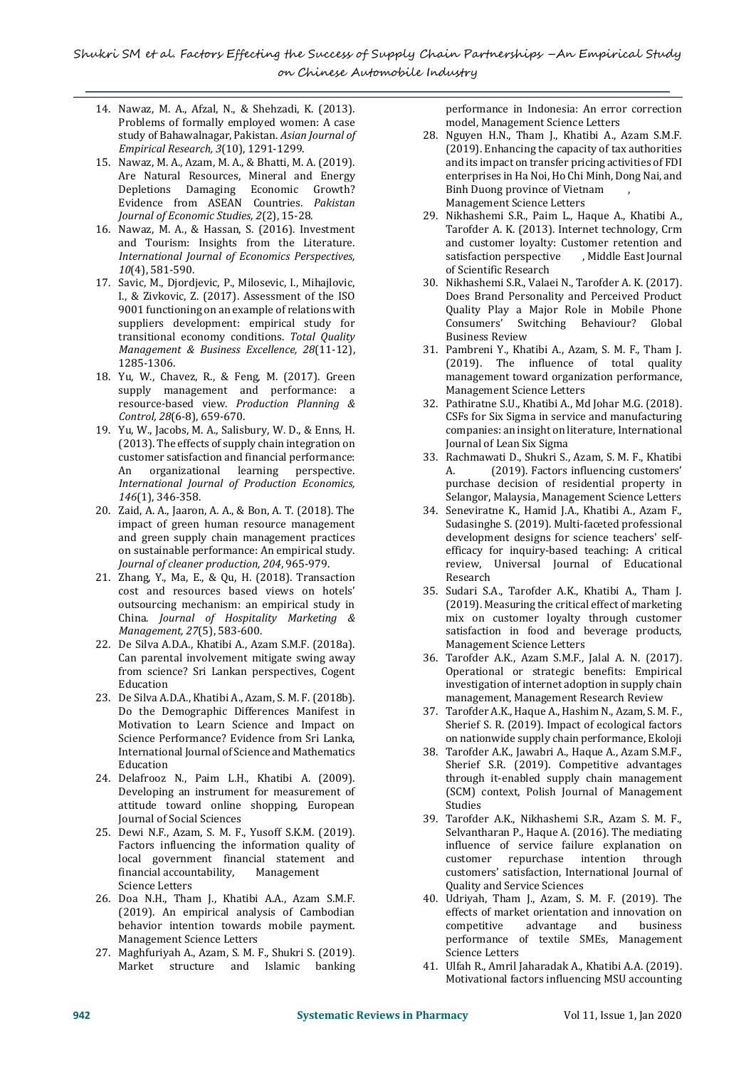- 14. Nawaz, M. A., Afzal, N., & Shehzadi, K. (2013). Problems of formally employed women: A case study of Bahawalnagar, Pakistan. *Asian Journal of Empirical Research, 3*(10), 1291-1299.
- 15. Nawaz, M. A., Azam, M. A., & Bhatti, M. A. (2019). Are Natural Resources, Mineral and Energy Depletions Damaging Economic Growth? Evidence from ASEAN Countries. *Pakistan Journal of Economic Studies, 2*(2), 15-28.
- 16. Nawaz, M. A., & Hassan, S. (2016). Investment and Tourism: Insights from the Literature. *International Journal of Economics Perspectives, 10*(4), 581-590.
- 17. Savic, M., Djordjevic, P., Milosevic, I., Mihajlovic, I., & Zivkovic, Z. (2017). Assessment of the ISO 9001 functioning on an example of relations with suppliers development: empirical study for transitional economy conditions. *Total Quality Management & Business Excellence, 28*(11-12), 1285-1306.
- 18. Yu, W., Chavez, R., & Feng, M. (2017). Green supply management and performance: a resource-based view. *Production Planning & Control, 28*(6-8), 659-670.
- 19. Yu, W., Jacobs, M. A., Salisbury, W. D., & Enns, H. (2013). The effects of supply chain integration on customer satisfaction and financial performance: An organizational learning perspective. *International Journal of Production Economics, 146*(1), 346-358.
- 20. Zaid, A. A., Jaaron, A. A., & Bon, A. T. (2018). The impact of green human resource management and green supply chain management practices on sustainable performance: An empirical study. *Journal of cleaner production, 204*, 965-979.
- 21. Zhang, Y., Ma, E., & Qu, H. (2018). Transaction cost and resources based views on hotels' outsourcing mechanism: an empirical study in China. *Journal of Hospitality Marketing & Management, 27*(5), 583-600.
- 22. De Silva A.D.A., Khatibi A., Azam S.M.F. (2018a). Can parental involvement mitigate swing away from science? Sri Lankan perspectives, Cogent Education
- 23. De Silva A.D.A., Khatibi A., Azam, S. M. F. (2018b). Do the Demographic Differences Manifest in Motivation to Learn Science and Impact on Science Performance? Evidence from Sri Lanka, International Journal of Science and Mathematics Education
- 24. Delafrooz N., Paim L.H., Khatibi A. (2009). Developing an instrument for measurement of attitude toward online shopping, European Journal of Social Sciences
- 25. Dewi N.F., Azam, S. M. F., Yusoff S.K.M. (2019). Factors influencing the information quality of local government financial statement and financial accountability, Management Science Letters
- 26. Doa N.H., Tham J., Khatibi A.A., Azam S.M.F. (2019). An empirical analysis of Cambodian behavior intention towards mobile payment. Management Science Letters
- 27. Maghfuriyah A., Azam, S. M. F., Shukri S. (2019). Market structure and Islamic banking

performance in Indonesia: An error correction model, Management Science Letters

- 28. Nguyen H.N., Tham J., Khatibi A., Azam S.M.F. (2019). Enhancing the capacity of tax authorities and its impact on transfer pricing activities of FDI enterprises in Ha Noi, Ho Chi Minh, Dong Nai, and Binh Duong province of Vietnam , Management Science Letters
- 29. Nikhashemi S.R., Paim L., Haque A., Khatibi A., Tarofder A. K. (2013). Internet technology, Crm and customer loyalty: Customer retention and<br>satisfaction perspective , Middle East Journal satisfaction perspective of Scientific Research
- 30. Nikhashemi S.R., Valaei N., Tarofder A. K. (2017). Does Brand Personality and Perceived Product Quality Play a Major Role in Mobile Phone Consumers' Switching Behaviour? Global Business Review
- 31. Pambreni Y., Khatibi A., Azam, S. M. F., Tham J. (2019). The influence of total quality management toward organization performance, Management Science Letters
- 32. Pathiratne S.U., Khatibi A., Md Johar M.G. (2018). CSFs for Six Sigma in service and manufacturing companies: an insight on literature, International Journal of Lean Six Sigma
- 33. Rachmawati D., Shukri S., Azam, S. M. F., Khatibi A. (2019). Factors influencing customers' purchase decision of residential property in Selangor, Malaysia, Management Science Letters
- 34. Seneviratne K., Hamid J.A., Khatibi A., Azam F., Sudasinghe S. (2019). Multi-faceted professional development designs for science teachers' selfefficacy for inquiry-based teaching: A critical review, Universal Journal of Educational Research
- 35. Sudari S.A., Tarofder A.K., Khatibi A., Tham J. (2019). Measuring the critical effect of marketing mix on customer loyalty through customer satisfaction in food and beverage products, Management Science Letters
- 36. Tarofder A.K., Azam S.M.F., Jalal A. N. (2017). Operational or strategic benefits: Empirical investigation of internet adoption in supply chain management, Management Research Review
- 37. Tarofder A.K., Haque A., Hashim N., Azam, S. M. F., Sherief S. R. (2019). Impact of ecological factors on nationwide supply chain performance, Ekoloji
- 38. Tarofder A.K., Jawabri A., Haque A., Azam S.M.F., Sherief S.R. (2019). Competitive advantages through it-enabled supply chain management (SCM) context, Polish Journal of Management Studies
- 39. Tarofder A.K., Nikhashemi S.R., Azam S. M. F., Selvantharan P., Haque A. (2016). The mediating influence of service failure explanation on customer repurchase intention through customers' satisfaction, International Journal of Quality and Service Sciences
- 40. Udriyah, Tham J., Azam, S. M. F. (2019). The effects of market orientation and innovation on competitive advantage and business performance of textile SMEs, Management Science Letters
- 41. Ulfah R., Amril Jaharadak A., Khatibi A.A. (2019). Motivational factors influencing MSU accounting